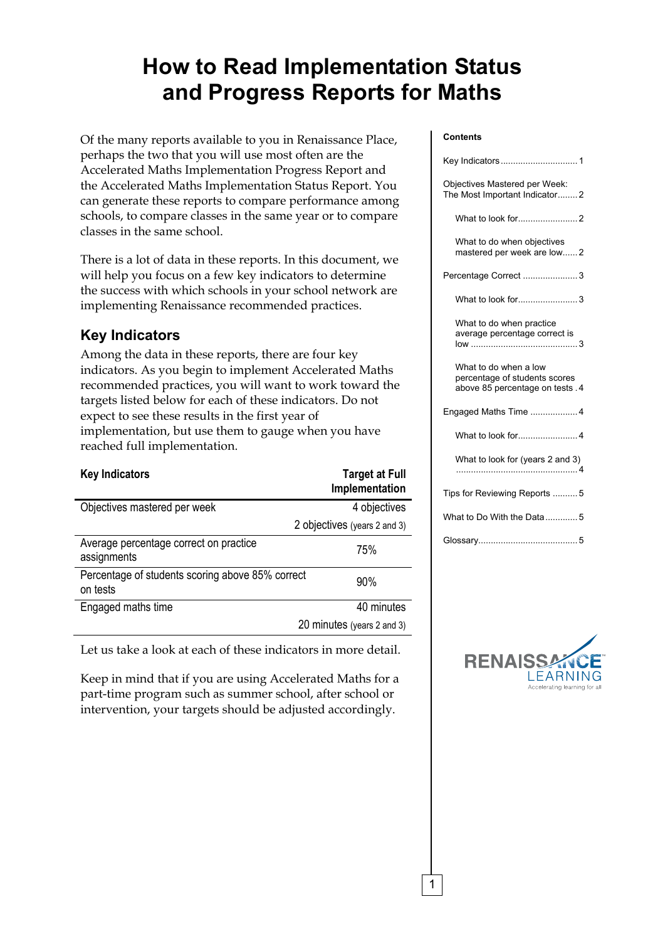# **How to Read Implementation Status and Progress Reports for Maths**

Of the many reports available to you in Renaissance Place, perhaps the two that you will use most often are the Accelerated Maths Implementation Progress Report and the Accelerated Maths Implementation Status Report. You can generate these reports to compare performance among schools, to compare classes in the same year or to compare classes in the same school.

There is a lot of data in these reports. In this document, we will help you focus on a few key indicators to determine the success with which schools in your school network are implementing Renaissance recommended practices.

## **Key Indicators**

Among the data in these reports, there are four key indicators. As you begin to implement Accelerated Maths recommended practices, you will want to work toward the targets listed below for each of these indicators. Do not expect to see these results in the first year of implementation, but use them to gauge when you have reached full implementation.

| <b>Key Indicators</b>                                        | <b>Target at Full</b><br>Implementation |
|--------------------------------------------------------------|-----------------------------------------|
| Objectives mastered per week                                 | 4 objectives                            |
|                                                              | 2 objectives (years 2 and 3)            |
| Average percentage correct on practice<br>assignments        | 75%                                     |
| Percentage of students scoring above 85% correct<br>on tests | 90%                                     |
| Engaged maths time                                           | 40 minutes                              |
|                                                              | 20 minutes (years 2 and 3)              |

Let us take a look at each of these indicators in more detail.

Keep in mind that if you are using Accelerated Maths for a part-time program such as summer school, after school or intervention, your targets should be adjusted accordingly.

#### **Contents**

| Objectives Mastered per Week:<br>The Most Important Indicator2                             |
|--------------------------------------------------------------------------------------------|
|                                                                                            |
| What to do when objectives<br>mastered per week are low2                                   |
| Percentage Correct  3                                                                      |
| What to look for3                                                                          |
| What to do when practice<br>average percentage correct is                                  |
| What to do when a low<br>percentage of students scores<br>above 85 percentage on tests . 4 |
| Engaged Maths Time  4                                                                      |
| What to look for4                                                                          |
| What to look for (years 2 and 3)                                                           |
| Tips for Reviewing Reports 5                                                               |
| What to Do With the Data5                                                                  |
|                                                                                            |



1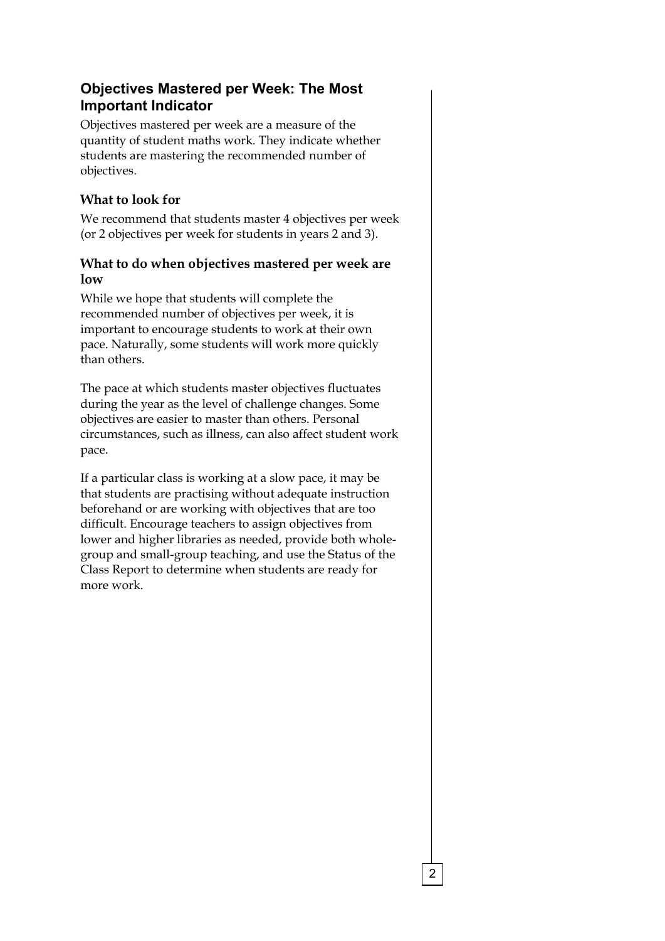## **Objectives Mastered per Week: The Most Important Indicator**

Objectives mastered per week are a measure of the quantity of student maths work. They indicate whether students are mastering the recommended number of objectives.

### **What to look for**

We recommend that students master 4 objectives per week (or 2 objectives per week for students in years 2 and 3).

#### **What to do when objectives mastered per week are low**

While we hope that students will complete the recommended number of objectives per week, it is important to encourage students to work at their own pace. Naturally, some students will work more quickly than others.

The pace at which students master objectives fluctuates during the year as the level of challenge changes. Some objectives are easier to master than others. Personal circumstances, such as illness, can also affect student work pace.

If a particular class is working at a slow pace, it may be that students are practising without adequate instruction beforehand or are working with objectives that are too difficult. Encourage teachers to assign objectives from lower and higher libraries as needed, provide both wholegroup and small-group teaching, and use the Status of the Class Report to determine when students are ready for more work.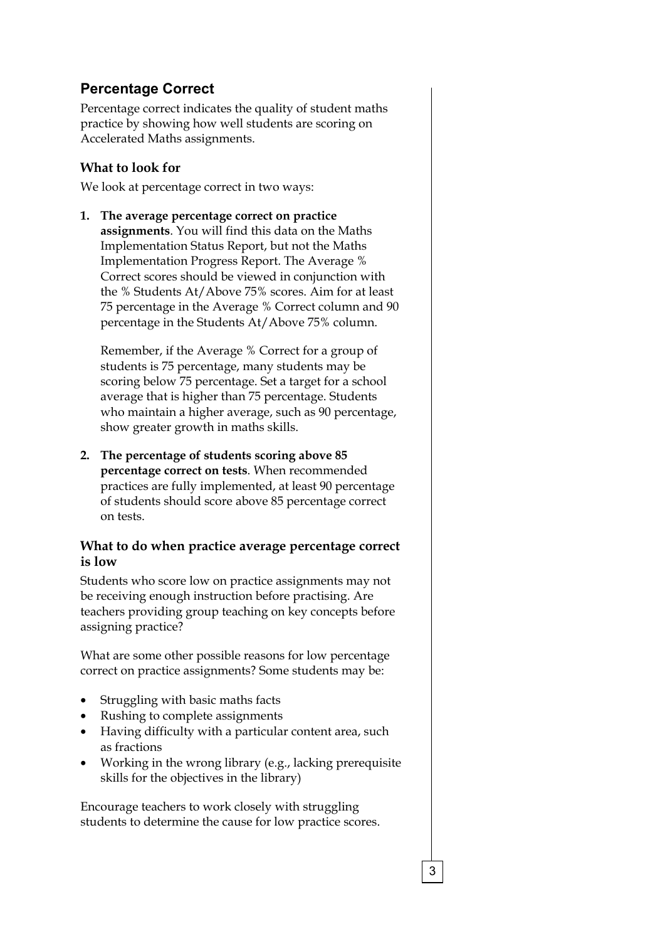## **Percentage Correct**

Percentage correct indicates the quality of student maths practice by showing how well students are scoring on Accelerated Maths assignments.

#### **What to look for**

We look at percentage correct in two ways:

**1. The average percentage correct on practice assignments**. You will find this data on the Maths Implementation Status Report, but not the Maths Implementation Progress Report. The Average % Correct scores should be viewed in conjunction with the % Students At/Above 75% scores. Aim for at least 75 percentage in the Average % Correct column and 90 percentage in the Students At/Above 75% column.

Remember, if the Average % Correct for a group of students is 75 percentage, many students may be scoring below 75 percentage. Set a target for a school average that is higher than 75 percentage. Students who maintain a higher average, such as 90 percentage, show greater growth in maths skills.

**2. The percentage of students scoring above 85 percentage correct on tests**. When recommended practices are fully implemented, at least 90 percentage of students should score above 85 percentage correct on tests.

#### **What to do when practice average percentage correct is low**

Students who score low on practice assignments may not be receiving enough instruction before practising. Are teachers providing group teaching on key concepts before assigning practice?

What are some other possible reasons for low percentage correct on practice assignments? Some students may be:

- Struggling with basic maths facts
- Rushing to complete assignments
- Having difficulty with a particular content area, such as fractions
- Working in the wrong library (e.g., lacking prerequisite skills for the objectives in the library)

Encourage teachers to work closely with struggling students to determine the cause for low practice scores.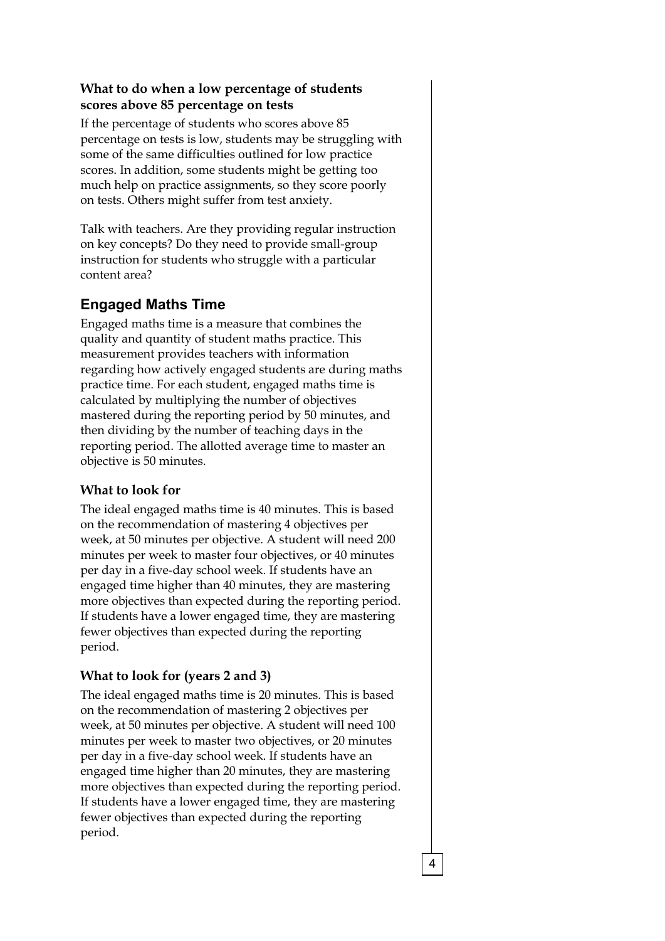#### **What to do when a low percentage of students scores above 85 percentage on tests**

If the percentage of students who scores above 85 percentage on tests is low, students may be struggling with some of the same difficulties outlined for low practice scores. In addition, some students might be getting too much help on practice assignments, so they score poorly on tests. Others might suffer from test anxiety.

Talk with teachers. Are they providing regular instruction on key concepts? Do they need to provide small-group instruction for students who struggle with a particular content area?

## **Engaged Maths Time**

Engaged maths time is a measure that combines the quality and quantity of student maths practice. This measurement provides teachers with information regarding how actively engaged students are during maths practice time. For each student, engaged maths time is calculated by multiplying the number of objectives mastered during the reporting period by 50 minutes, and then dividing by the number of teaching days in the reporting period. The allotted average time to master an objective is 50 minutes.

### **What to look for**

The ideal engaged maths time is 40 minutes. This is based on the recommendation of mastering 4 objectives per week, at 50 minutes per objective. A student will need 200 minutes per week to master four objectives, or 40 minutes per day in a five-day school week. If students have an engaged time higher than 40 minutes, they are mastering more objectives than expected during the reporting period. If students have a lower engaged time, they are mastering fewer objectives than expected during the reporting period.

### **What to look for (years 2 and 3)**

The ideal engaged maths time is 20 minutes. This is based on the recommendation of mastering 2 objectives per week, at 50 minutes per objective. A student will need 100 minutes per week to master two objectives, or 20 minutes per day in a five-day school week. If students have an engaged time higher than 20 minutes, they are mastering more objectives than expected during the reporting period. If students have a lower engaged time, they are mastering fewer objectives than expected during the reporting period.